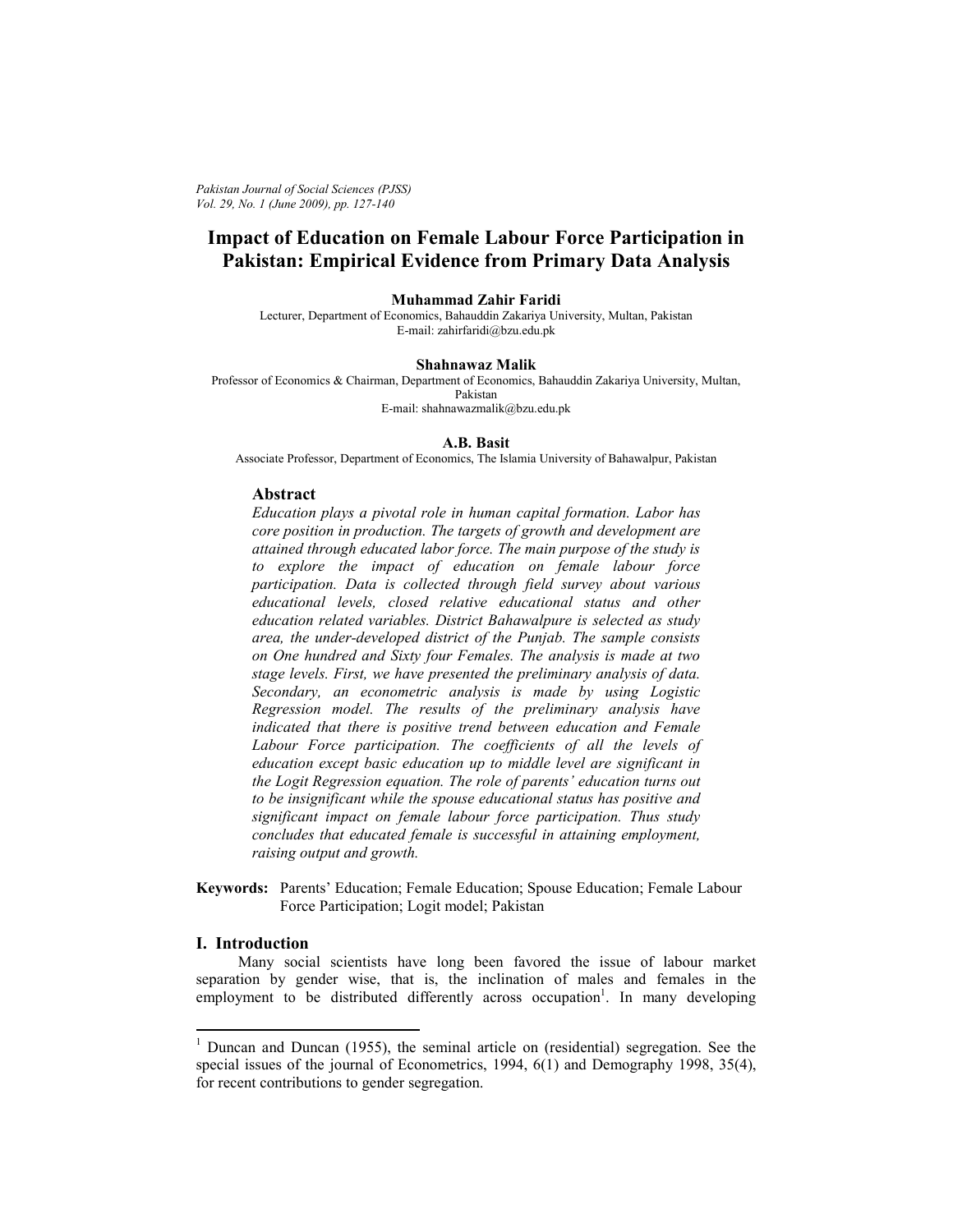*Pakistan Journal of Social Sciences (PJSS) Vol. 29, No. 1 (June 2009), pp. 127-140* 

# **Impact of Education on Female Labour Force Participation in Pakistan: Empirical Evidence from Primary Data Analysis**

#### **Muhammad Zahir Faridi**

Lecturer, Department of Economics, Bahauddin Zakariya University, Multan, Pakistan E-mail: zahirfaridi@bzu.edu.pk

#### **Shahnawaz Malik**

Professor of Economics & Chairman, Department of Economics, Bahauddin Zakariya University, Multan, Pakistan E-mail: shahnawazmalik@bzu.edu.pk

### **A.B. Basit**

Associate Professor, Department of Economics, The Islamia University of Bahawalpur, Pakistan

#### **Abstract**

*Education plays a pivotal role in human capital formation. Labor has core position in production. The targets of growth and development are attained through educated labor force. The main purpose of the study is to explore the impact of education on female labour force participation. Data is collected through field survey about various educational levels, closed relative educational status and other education related variables. District Bahawalpure is selected as study area, the under-developed district of the Punjab. The sample consists on One hundred and Sixty four Females. The analysis is made at two stage levels. First, we have presented the preliminary analysis of data. Secondary, an econometric analysis is made by using Logistic Regression model. The results of the preliminary analysis have indicated that there is positive trend between education and Female*  Labour Force participation. The coefficients of all the levels of *education except basic education up to middle level are significant in the Logit Regression equation. The role of parents' education turns out to be insignificant while the spouse educational status has positive and significant impact on female labour force participation. Thus study concludes that educated female is successful in attaining employment, raising output and growth.* 

**Keywords:** Parents' Education; Female Education; Spouse Education; Female Labour Force Participation; Logit model; Pakistan

### **I. Introduction**

 Many social scientists have long been favored the issue of labour market separation by gender wise, that is, the inclination of males and females in the  $employment$  to be distributed differently across occupation<sup>1</sup>. In many developing

<sup>&</sup>lt;sup>1</sup> Duncan and Duncan (1955), the seminal article on (residential) segregation. See the special issues of the journal of Econometrics, 1994, 6(1) and Demography 1998, 35(4), for recent contributions to gender segregation.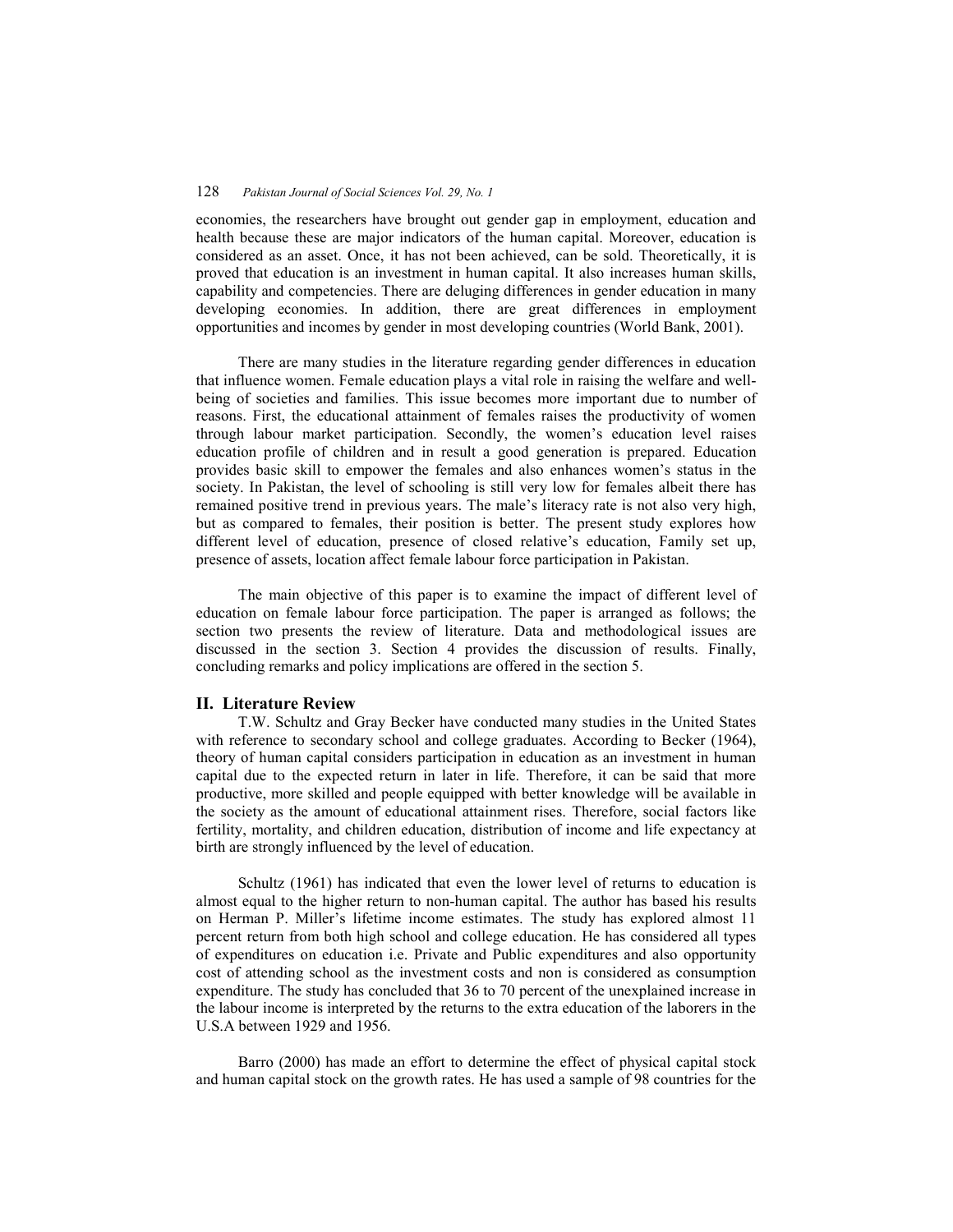economies, the researchers have brought out gender gap in employment, education and health because these are major indicators of the human capital. Moreover, education is considered as an asset. Once, it has not been achieved, can be sold. Theoretically, it is proved that education is an investment in human capital. It also increases human skills, capability and competencies. There are deluging differences in gender education in many developing economies. In addition, there are great differences in employment opportunities and incomes by gender in most developing countries (World Bank, 2001).

 There are many studies in the literature regarding gender differences in education that influence women. Female education plays a vital role in raising the welfare and wellbeing of societies and families. This issue becomes more important due to number of reasons. First, the educational attainment of females raises the productivity of women through labour market participation. Secondly, the women's education level raises education profile of children and in result a good generation is prepared. Education provides basic skill to empower the females and also enhances women's status in the society. In Pakistan, the level of schooling is still very low for females albeit there has remained positive trend in previous years. The male's literacy rate is not also very high, but as compared to females, their position is better. The present study explores how different level of education, presence of closed relative's education, Family set up, presence of assets, location affect female labour force participation in Pakistan.

 The main objective of this paper is to examine the impact of different level of education on female labour force participation. The paper is arranged as follows; the section two presents the review of literature. Data and methodological issues are discussed in the section 3. Section 4 provides the discussion of results. Finally, concluding remarks and policy implications are offered in the section 5.

### **II. Literature Review**

 T.W. Schultz and Gray Becker have conducted many studies in the United States with reference to secondary school and college graduates. According to Becker (1964), theory of human capital considers participation in education as an investment in human capital due to the expected return in later in life. Therefore, it can be said that more productive, more skilled and people equipped with better knowledge will be available in the society as the amount of educational attainment rises. Therefore, social factors like fertility, mortality, and children education, distribution of income and life expectancy at birth are strongly influenced by the level of education.

 Schultz (1961) has indicated that even the lower level of returns to education is almost equal to the higher return to non-human capital. The author has based his results on Herman P. Miller's lifetime income estimates. The study has explored almost 11 percent return from both high school and college education. He has considered all types of expenditures on education i.e. Private and Public expenditures and also opportunity cost of attending school as the investment costs and non is considered as consumption expenditure. The study has concluded that 36 to 70 percent of the unexplained increase in the labour income is interpreted by the returns to the extra education of the laborers in the U.S.A between 1929 and 1956.

 Barro (2000) has made an effort to determine the effect of physical capital stock and human capital stock on the growth rates. He has used a sample of 98 countries for the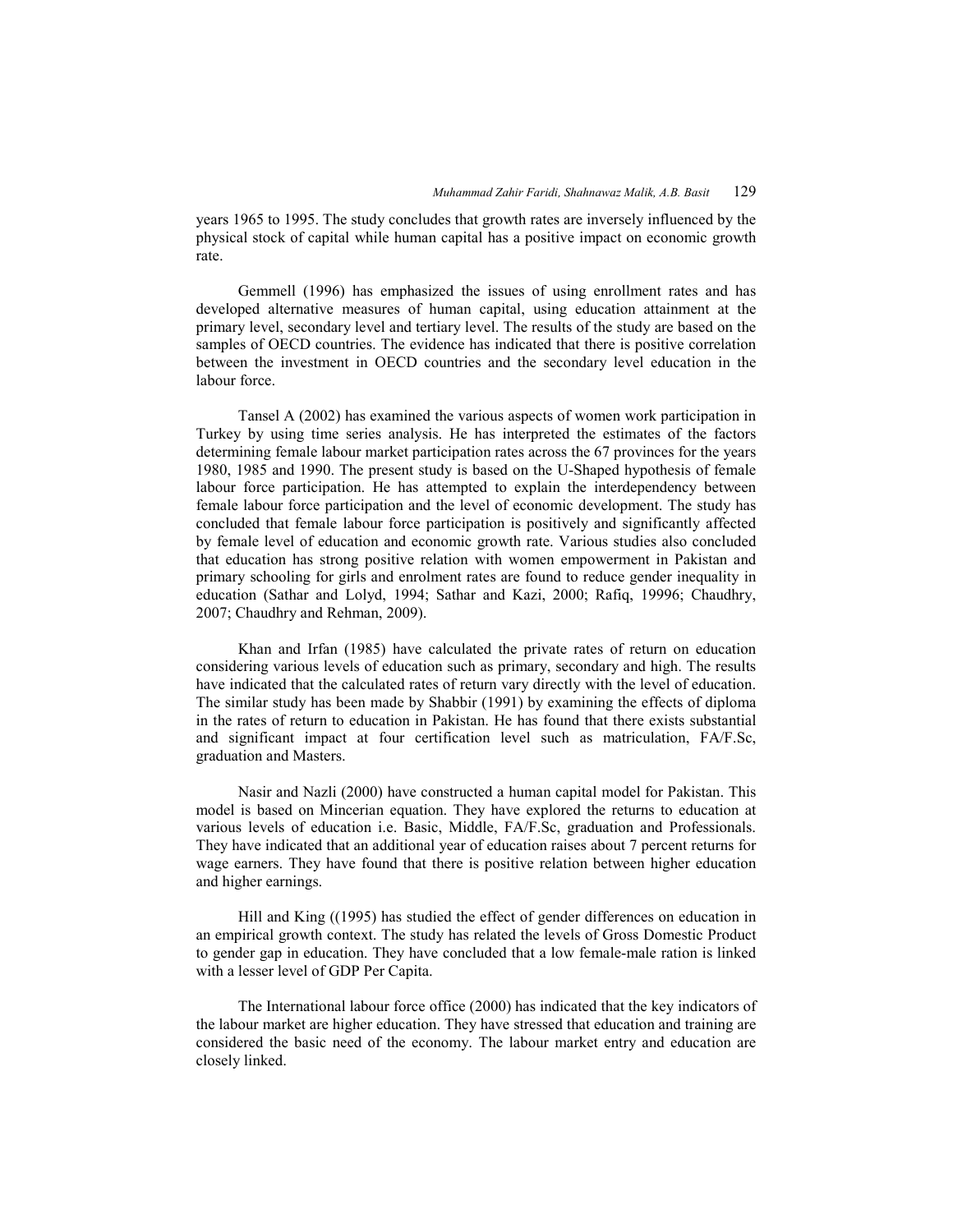years 1965 to 1995. The study concludes that growth rates are inversely influenced by the physical stock of capital while human capital has a positive impact on economic growth rate.

 Gemmell (1996) has emphasized the issues of using enrollment rates and has developed alternative measures of human capital, using education attainment at the primary level, secondary level and tertiary level. The results of the study are based on the samples of OECD countries. The evidence has indicated that there is positive correlation between the investment in OECD countries and the secondary level education in the labour force.

 Tansel A (2002) has examined the various aspects of women work participation in Turkey by using time series analysis. He has interpreted the estimates of the factors determining female labour market participation rates across the 67 provinces for the years 1980, 1985 and 1990. The present study is based on the U-Shaped hypothesis of female labour force participation. He has attempted to explain the interdependency between female labour force participation and the level of economic development. The study has concluded that female labour force participation is positively and significantly affected by female level of education and economic growth rate. Various studies also concluded that education has strong positive relation with women empowerment in Pakistan and primary schooling for girls and enrolment rates are found to reduce gender inequality in education (Sathar and Lolyd, 1994; Sathar and Kazi, 2000; Rafiq, 19996; Chaudhry, 2007; Chaudhry and Rehman, 2009).

 Khan and Irfan (1985) have calculated the private rates of return on education considering various levels of education such as primary, secondary and high. The results have indicated that the calculated rates of return vary directly with the level of education. The similar study has been made by Shabbir (1991) by examining the effects of diploma in the rates of return to education in Pakistan. He has found that there exists substantial and significant impact at four certification level such as matriculation, FA/F.Sc, graduation and Masters.

 Nasir and Nazli (2000) have constructed a human capital model for Pakistan. This model is based on Mincerian equation. They have explored the returns to education at various levels of education i.e. Basic, Middle, FA/F.Sc, graduation and Professionals. They have indicated that an additional year of education raises about 7 percent returns for wage earners. They have found that there is positive relation between higher education and higher earnings.

 Hill and King ((1995) has studied the effect of gender differences on education in an empirical growth context. The study has related the levels of Gross Domestic Product to gender gap in education. They have concluded that a low female-male ration is linked with a lesser level of GDP Per Capita.

 The International labour force office (2000) has indicated that the key indicators of the labour market are higher education. They have stressed that education and training are considered the basic need of the economy. The labour market entry and education are closely linked.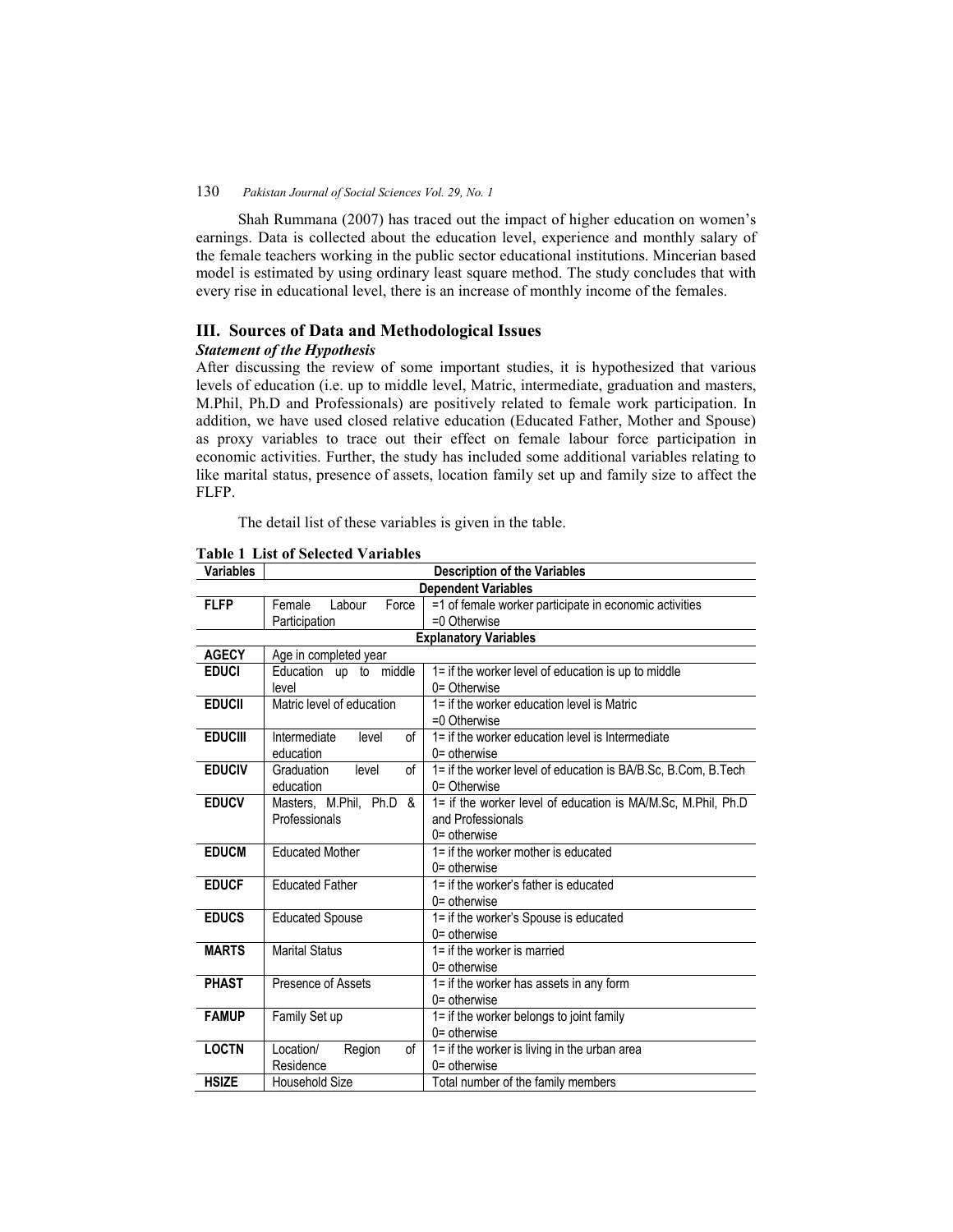Shah Rummana (2007) has traced out the impact of higher education on women's earnings. Data is collected about the education level, experience and monthly salary of the female teachers working in the public sector educational institutions. Mincerian based model is estimated by using ordinary least square method. The study concludes that with every rise in educational level, there is an increase of monthly income of the females.

## **III. Sources of Data and Methodological Issues**

### *Statement of the Hypothesis*

After discussing the review of some important studies, it is hypothesized that various levels of education (i.e. up to middle level, Matric, intermediate, graduation and masters, M.Phil, Ph.D and Professionals) are positively related to female work participation. In addition, we have used closed relative education (Educated Father, Mother and Spouse) as proxy variables to trace out their effect on female labour force participation in economic activities. Further, the study has included some additional variables relating to like marital status, presence of assets, location family set up and family size to affect the FLFP.

The detail list of these variables is given in the table.

| <b>Variables</b>           | <b>Description of the Variables</b> |                                                               |  |  |  |
|----------------------------|-------------------------------------|---------------------------------------------------------------|--|--|--|
| <b>Dependent Variables</b> |                                     |                                                               |  |  |  |
| <b>FLFP</b>                | Female<br>Force<br>Labour           | =1 of female worker participate in economic activities        |  |  |  |
|                            | Participation                       | $=0$ Otherwise                                                |  |  |  |
|                            |                                     | <b>Explanatory Variables</b>                                  |  |  |  |
| <b>AGECY</b>               | Age in completed year               |                                                               |  |  |  |
| <b>EDUCI</b>               | Education up to middle              | 1= if the worker level of education is up to middle           |  |  |  |
|                            | level                               | 0= Otherwise                                                  |  |  |  |
| <b>EDUCII</b>              | Matric level of education           | 1= if the worker education level is Matric                    |  |  |  |
|                            |                                     | $=0$ Otherwise                                                |  |  |  |
| <b>EDUCIII</b>             | Intermediate<br>level<br>of         | 1= if the worker education level is Intermediate              |  |  |  |
|                            | education                           | $0 =$ otherwise                                               |  |  |  |
| <b>EDUCIV</b>              | οf<br>Graduation<br>level           | 1= if the worker level of education is BA/B.Sc, B.Com, B.Tech |  |  |  |
|                            | education                           | $0 =$ Otherwise                                               |  |  |  |
| <b>EDUCV</b>               | Masters, M.Phil, Ph.D &             | 1= if the worker level of education is MA/M.Sc, M.Phil, Ph.D  |  |  |  |
|                            | Professionals                       | and Professionals                                             |  |  |  |
|                            |                                     | $0 =$ otherwise                                               |  |  |  |
| <b>EDUCM</b>               | <b>Educated Mother</b>              | 1= if the worker mother is educated                           |  |  |  |
|                            |                                     | $0 =$ otherwise                                               |  |  |  |
| <b>EDUCF</b>               | <b>Educated Father</b>              | 1= if the worker's father is educated                         |  |  |  |
|                            |                                     | $0 =$ otherwise                                               |  |  |  |
| <b>EDUCS</b>               | <b>Educated Spouse</b>              | 1= if the worker's Spouse is educated                         |  |  |  |
|                            |                                     | $0 =$ otherwise                                               |  |  |  |
| <b>MARTS</b>               | <b>Marital Status</b>               | 1= if the worker is married                                   |  |  |  |
|                            |                                     | $0 =$ otherwise                                               |  |  |  |
| <b>PHAST</b>               | Presence of Assets                  | 1= if the worker has assets in any form                       |  |  |  |
|                            |                                     | $0 =$ otherwise                                               |  |  |  |
| <b>FAMUP</b>               | Family Set up                       | 1= if the worker belongs to joint family                      |  |  |  |
|                            |                                     | $0 =$ otherwise                                               |  |  |  |
| <b>LOCTN</b>               | Location/<br>of<br>Region           | 1= if the worker is living in the urban area                  |  |  |  |
|                            | Residence                           | $0 =$ otherwise                                               |  |  |  |
| <b>HSIZE</b>               | Household Size                      | Total number of the family members                            |  |  |  |

### **Table 1 List of Selected Variables**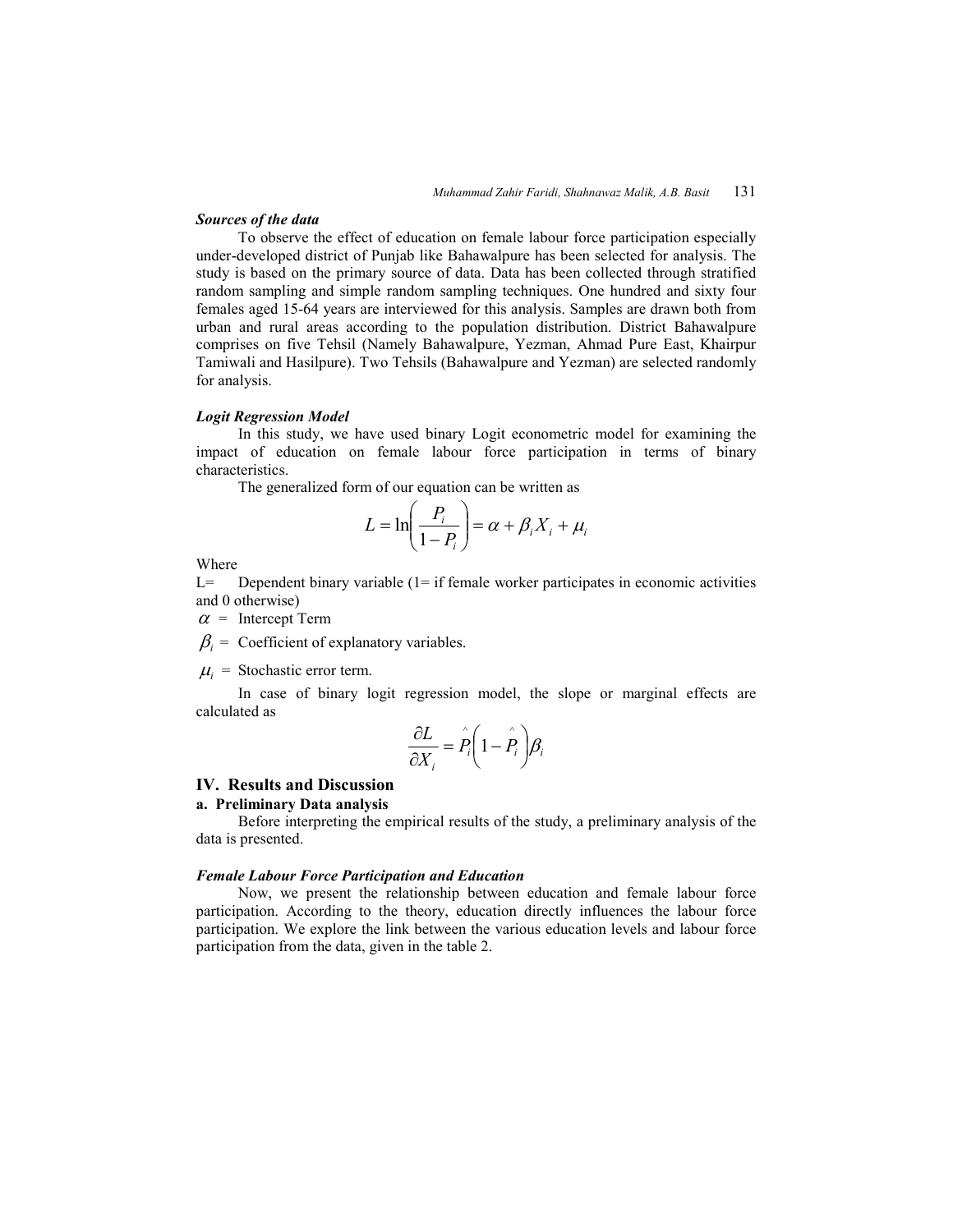#### *Sources of the data*

To observe the effect of education on female labour force participation especially under-developed district of Punjab like Bahawalpure has been selected for analysis. The study is based on the primary source of data. Data has been collected through stratified random sampling and simple random sampling techniques. One hundred and sixty four females aged 15-64 years are interviewed for this analysis. Samples are drawn both from urban and rural areas according to the population distribution. District Bahawalpure comprises on five Tehsil (Namely Bahawalpure, Yezman, Ahmad Pure East, Khairpur Tamiwali and Hasilpure). Two Tehsils (Bahawalpure and Yezman) are selected randomly for analysis.

### *Logit Regression Model*

In this study, we have used binary Logit econometric model for examining the impact of education on female labour force participation in terms of binary characteristics.

The generalized form of our equation can be written as

$$
L = \ln\left(\frac{P_i}{1 - P_i}\right) = \alpha + \beta_i X_i + \mu_i
$$

Where

L= Dependent binary variable (1= if female worker participates in economic activities and 0 otherwise)

 $\alpha$  = Intercept Term

 $\beta_i$  = Coefficient of explanatory variables.

 $\mu_i$  = Stochastic error term.

 In case of binary logit regression model, the slope or marginal effects are calculated as

$$
\frac{\partial L}{\partial X_i} = \hat{P}_i \left( 1 - \hat{P}_i \right) \beta_i
$$

### **IV. Results and Discussion**

### **a. Preliminary Data analysis**

 Before interpreting the empirical results of the study, a preliminary analysis of the data is presented.

#### *Female Labour Force Participation and Education*

 Now, we present the relationship between education and female labour force participation. According to the theory, education directly influences the labour force participation. We explore the link between the various education levels and labour force participation from the data, given in the table 2.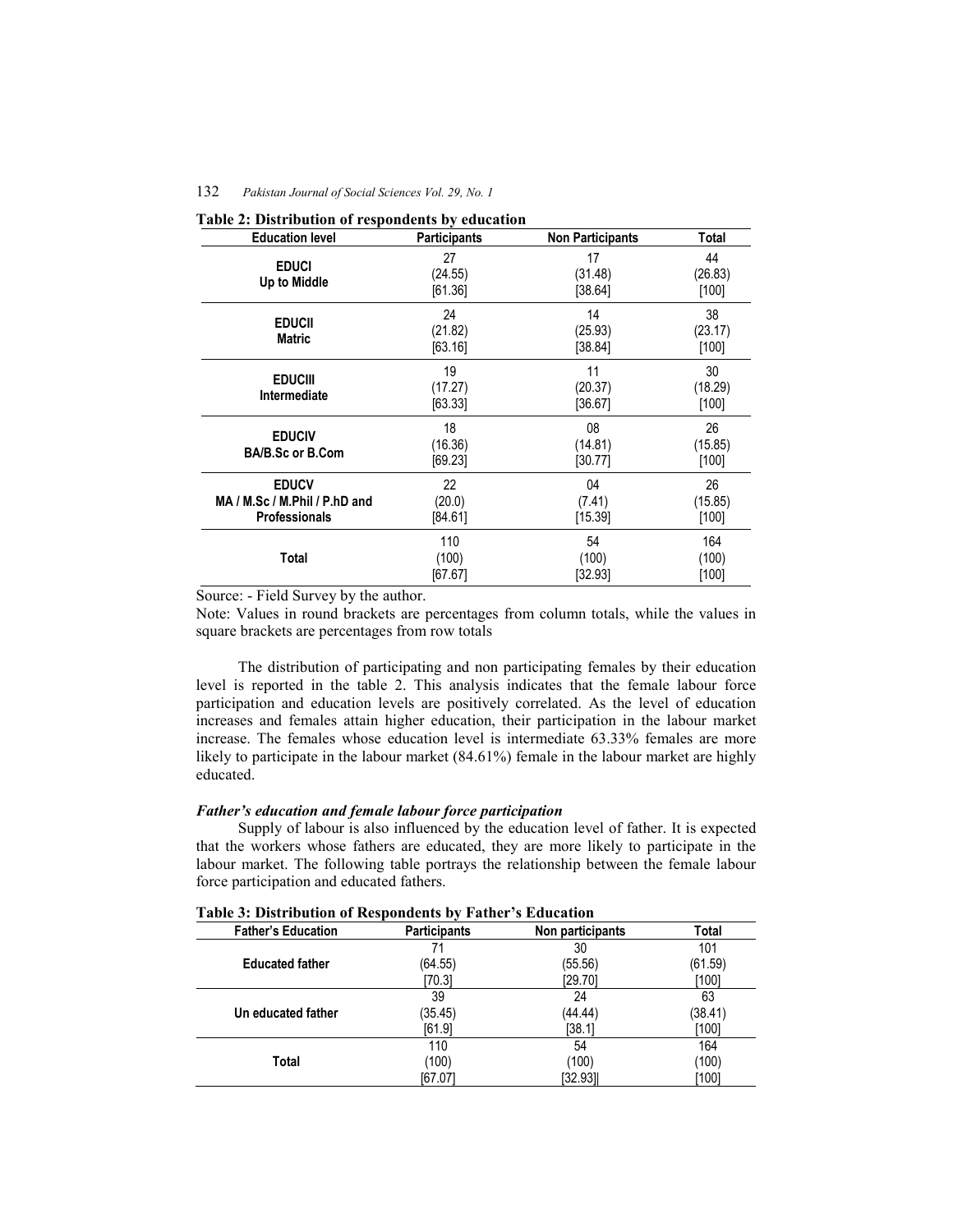| <b>Education level</b>                                                | <b>Participants</b>      | <b>Non Participants</b>  | Total                    |
|-----------------------------------------------------------------------|--------------------------|--------------------------|--------------------------|
| <b>EDUCI</b><br>Up to Middle                                          | 27<br>(24.55)<br>[61.36] | 17<br>(31.48)<br>[38.64] | 44<br>(26.83)<br>$[100]$ |
| <b>EDUCII</b><br><b>Matric</b>                                        | 24<br>(21.82)<br>[63.16] | 14<br>(25.93)<br>[38.84] | 38<br>(23.17)<br>[100]   |
| <b>EDUCIII</b><br><b>Intermediate</b>                                 | 19<br>(17.27)<br>[63.33] | 11<br>(20.37)<br>[36.67] | 30<br>(18.29)<br>[100]   |
| <b>EDUCIV</b><br><b>BA/B.Sc or B.Com</b>                              | 18<br>(16.36)<br>[69.23] | 08<br>(14.81)<br>[30.77] | 26<br>(15.85)<br>$[100]$ |
| <b>EDUCV</b><br>MA / M.Sc / M.Phil / P.hD and<br><b>Professionals</b> | 22<br>(20.0)<br>[84.61]  | 04<br>(7.41)<br>[15.39]  | 26<br>(15.85)<br>[100]   |
| Total                                                                 | 110<br>(100)<br>[67.67]  | 54<br>(100)<br>[32.93]   | 164<br>(100)<br>$[100]$  |

| Table 2: Distribution of respondents by education |  |
|---------------------------------------------------|--|
|---------------------------------------------------|--|

Source: - Field Survey by the author.

Note: Values in round brackets are percentages from column totals, while the values in square brackets are percentages from row totals

 The distribution of participating and non participating females by their education level is reported in the table 2. This analysis indicates that the female labour force participation and education levels are positively correlated. As the level of education increases and females attain higher education, their participation in the labour market increase. The females whose education level is intermediate 63.33% females are more likely to participate in the labour market (84.61%) female in the labour market are highly educated.

### *Father's education and female labour force participation*

 Supply of labour is also influenced by the education level of father. It is expected that the workers whose fathers are educated, they are more likely to participate in the labour market. The following table portrays the relationship between the female labour force participation and educated fathers.

| <b>Father's Education</b> | <b>Participants</b> | Non participants | Total   |
|---------------------------|---------------------|------------------|---------|
|                           | 71                  | 30               | 101     |
| <b>Educated father</b>    | (64.55)             | (55.56)          | (61.59) |
|                           | [70.3]              | [29.70]          | [100]   |
|                           | 39                  | 24               | 63      |
| Un educated father        | (35.45)             | (44.44)          | (38.41) |
|                           | [61.9]              | [38.1]           | [100]   |
|                           | 110                 | 54               | 164     |
| Total                     | (100)               | (100)            | (100)   |
|                           | [67.07]             | [32.93]          | [100]   |

**Table 3: Distribution of Respondents by Father's Education**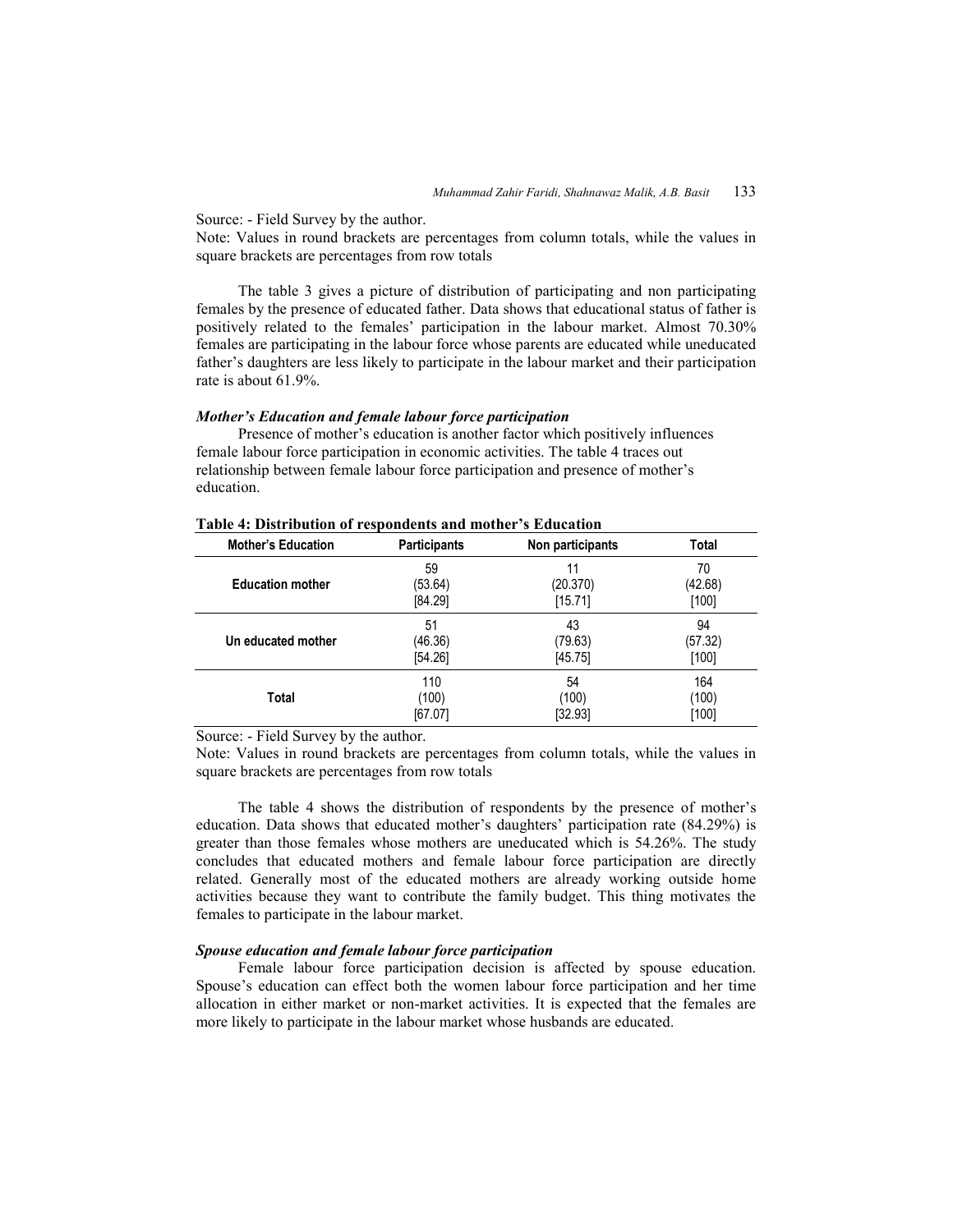Source: - Field Survey by the author.

Note: Values in round brackets are percentages from column totals, while the values in square brackets are percentages from row totals

 The table 3 gives a picture of distribution of participating and non participating females by the presence of educated father. Data shows that educational status of father is positively related to the females' participation in the labour market. Almost 70.30% females are participating in the labour force whose parents are educated while uneducated father's daughters are less likely to participate in the labour market and their participation rate is about 61.9%.

#### *Mother's Education and female labour force participation*

 Presence of mother's education is another factor which positively influences female labour force participation in economic activities. The table 4 traces out relationship between female labour force participation and presence of mother's education.

| <b>Mother's Education</b> | <b>Participants</b> | Non participants | Total   |
|---------------------------|---------------------|------------------|---------|
| <b>Education mother</b>   | 59                  | 11               | 70      |
|                           | (53.64)             | (20.370)         | (42.68) |
|                           | [84.29]             | [15.71]          | $[100]$ |
| Un educated mother        | 51                  | 43               | 94      |
|                           | (46.36)             | (79.63)          | (57.32) |
|                           | [54.26]             | [45.75]          | $[100]$ |
| Total                     | 110                 | 54               | 164     |
|                           | (100)               | (100)            | (100)   |
|                           | [67.07]             | [32.93]          | [100]   |

### **Table 4: Distribution of respondents and mother's Education**

Source: - Field Survey by the author.

Note: Values in round brackets are percentages from column totals, while the values in square brackets are percentages from row totals

 The table 4 shows the distribution of respondents by the presence of mother's education. Data shows that educated mother's daughters' participation rate (84.29%) is greater than those females whose mothers are uneducated which is 54.26%. The study concludes that educated mothers and female labour force participation are directly related. Generally most of the educated mothers are already working outside home activities because they want to contribute the family budget. This thing motivates the females to participate in the labour market.

### *Spouse education and female labour force participation*

 Female labour force participation decision is affected by spouse education. Spouse's education can effect both the women labour force participation and her time allocation in either market or non-market activities. It is expected that the females are more likely to participate in the labour market whose husbands are educated.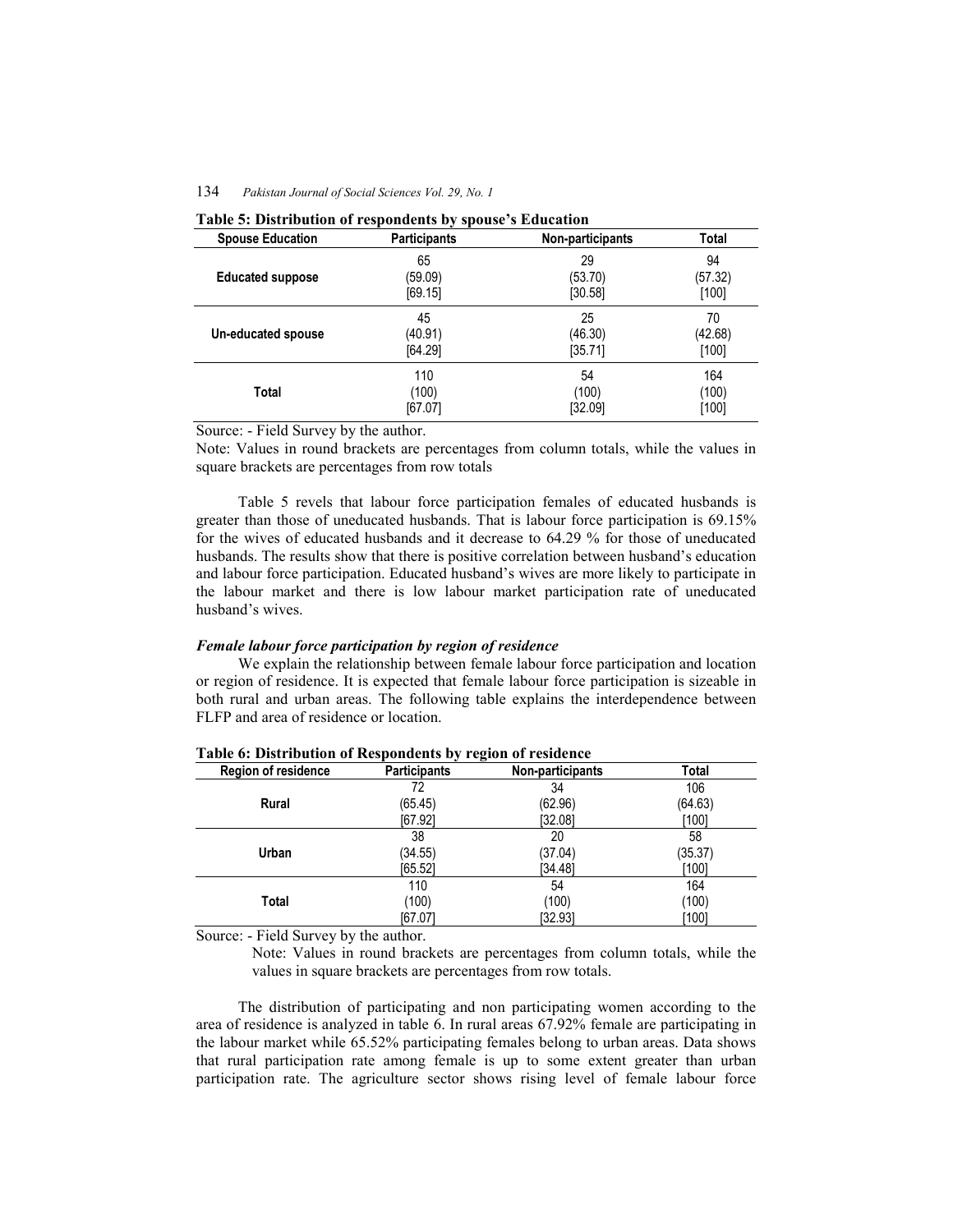| <b>Spouse Education</b> | <b>Participants</b> | Non-participants | Total   |
|-------------------------|---------------------|------------------|---------|
| <b>Educated suppose</b> | 65                  | 29               | 94      |
|                         | (59.09)             | (53.70)          | (57.32) |
|                         | [69.15]             | [30.58]          | [100]   |
| Un-educated spouse      | 45                  | 25               | 70      |
|                         | (40.91)             | (46.30)          | (42.68) |
|                         | [64.29]             | [35.71]          | [100]   |
| Total                   | 110                 | 54               | 164     |
|                         | (100)               | (100)            | (100)   |
|                         | [67.07]             | [32.09]          | [100]   |

Source: - Field Survey by the author.

Note: Values in round brackets are percentages from column totals, while the values in square brackets are percentages from row totals

 Table 5 revels that labour force participation females of educated husbands is greater than those of uneducated husbands. That is labour force participation is 69.15% for the wives of educated husbands and it decrease to 64.29 % for those of uneducated husbands. The results show that there is positive correlation between husband's education and labour force participation. Educated husband's wives are more likely to participate in the labour market and there is low labour market participation rate of uneducated husband's wives.

### *Female labour force participation by region of residence*

 We explain the relationship between female labour force participation and location or region of residence. It is expected that female labour force participation is sizeable in both rural and urban areas. The following table explains the interdependence between FLFP and area of residence or location.

| <b>Region of residence</b> | <b>Participants</b> | Non-participants | Total   |
|----------------------------|---------------------|------------------|---------|
|                            | 72                  | 34               | 106     |
| Rural                      | (65.45)             | (62.96)          | (64.63) |
|                            | [67.92]             | [32.08]          | [100]   |
|                            | 38                  | 20               | 58      |
| Urban                      | (34.55)             | (37.04)          | (35.37) |
|                            | [65.52]             | [34.48]          | [100]   |
|                            | 110                 | 54               | 164     |
| Total                      | (100)               | (100)            | (100)   |
|                            | [67.07]             | [32.93]          | [100]   |

**Table 6: Distribution of Respondents by region of residence** 

Source: - Field Survey by the author.

Note: Values in round brackets are percentages from column totals, while the values in square brackets are percentages from row totals.

 The distribution of participating and non participating women according to the area of residence is analyzed in table 6. In rural areas 67.92% female are participating in the labour market while 65.52% participating females belong to urban areas. Data shows that rural participation rate among female is up to some extent greater than urban participation rate. The agriculture sector shows rising level of female labour force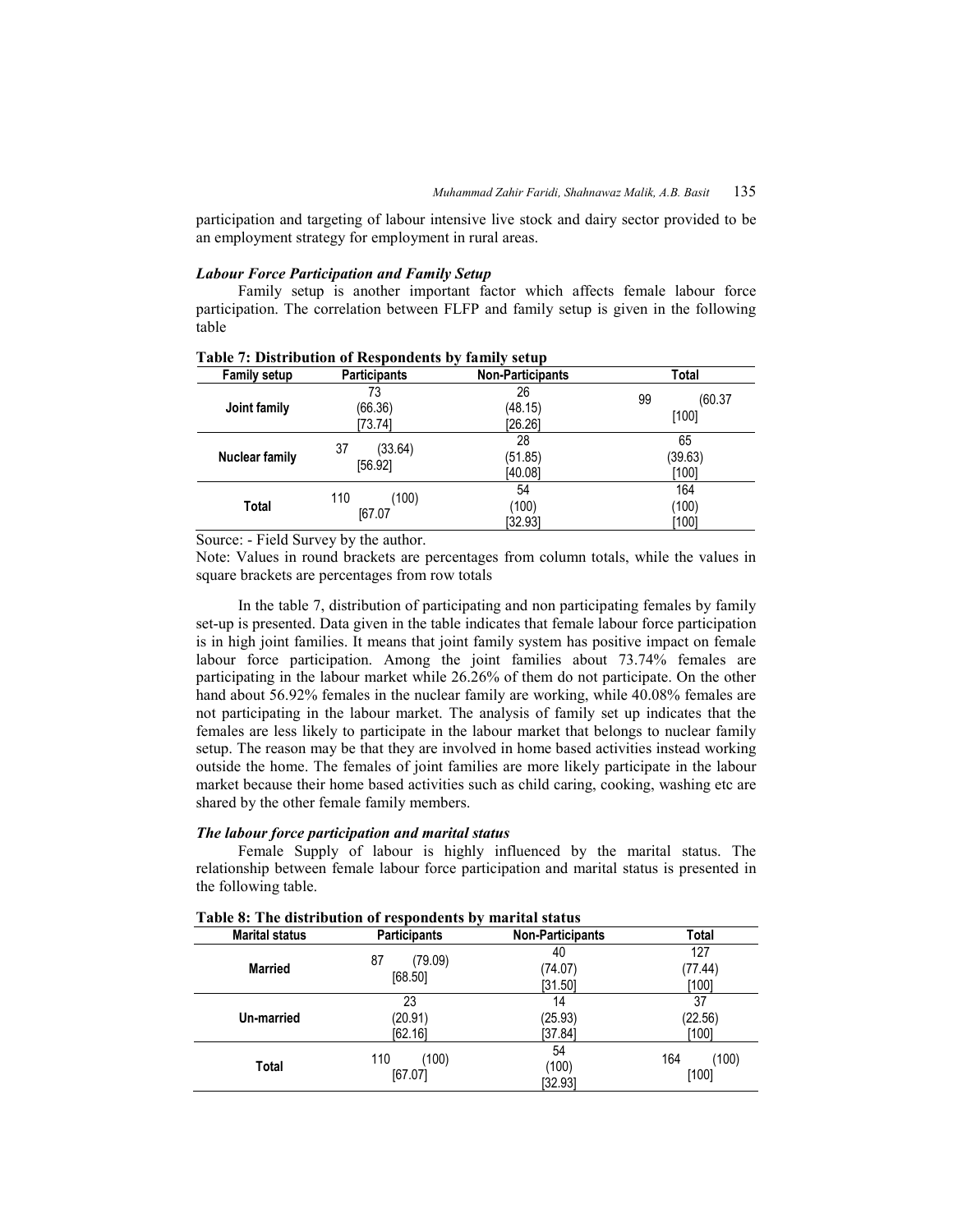participation and targeting of labour intensive live stock and dairy sector provided to be an employment strategy for employment in rural areas.

### *Labour Force Participation and Family Setup*

 Family setup is another important factor which affects female labour force participation. The correlation between FLFP and family setup is given in the following table

| <b>Family setup</b> | <b>Participants</b> | <b>Non-Participants</b> | Total   |
|---------------------|---------------------|-------------------------|---------|
| Joint family        | 73                  | 26                      | 99      |
|                     | (66.36)             | (48.15)                 | (60.37) |
|                     | [73.74]             | [26.26]                 | [100]   |
| Nuclear family      | 37                  | 28                      | 65      |
|                     | (33.64)             | (51.85)                 | (39.63) |
|                     | [56.92]             | [40.08]                 | [100]   |
| Total               | 110                 | 54                      | 164     |
|                     | (100)               | (100)                   | (100)   |
|                     | [67.07]             | [32.93]                 | [100]   |

**Table 7: Distribution of Respondents by family setup** 

Source: - Field Survey by the author.

Note: Values in round brackets are percentages from column totals, while the values in square brackets are percentages from row totals

 In the table 7, distribution of participating and non participating females by family set-up is presented. Data given in the table indicates that female labour force participation is in high joint families. It means that joint family system has positive impact on female labour force participation. Among the joint families about 73.74% females are participating in the labour market while 26.26% of them do not participate. On the other hand about 56.92% females in the nuclear family are working, while 40.08% females are not participating in the labour market. The analysis of family set up indicates that the females are less likely to participate in the labour market that belongs to nuclear family setup. The reason may be that they are involved in home based activities instead working outside the home. The females of joint families are more likely participate in the labour market because their home based activities such as child caring, cooking, washing etc are shared by the other female family members.

### *The labour force participation and marital status*

 Female Supply of labour is highly influenced by the marital status. The relationship between female labour force participation and marital status is presented in the following table.

| <b>Marital status</b> | <b>Participants</b> | <b>Non-Participants</b> | Total   |
|-----------------------|---------------------|-------------------------|---------|
| Married               | 87                  | 40                      | 127     |
|                       | (79.09)             | (74.07)                 | (77.44) |
|                       | [68.50]             | [31.50]                 | [100]   |
| Un-married            | 23                  | 14                      | 37      |
|                       | (20.91)             | (25.93)                 | (22.56) |
|                       | [62.16]             | [37.84]                 | [100]   |
| Total                 | 110                 | 54                      | (100)   |
|                       | (100)               | (100)                   | 164     |
|                       | [67.07]             | [32.93]                 | [100]   |

**Table 8: The distribution of respondents by marital status**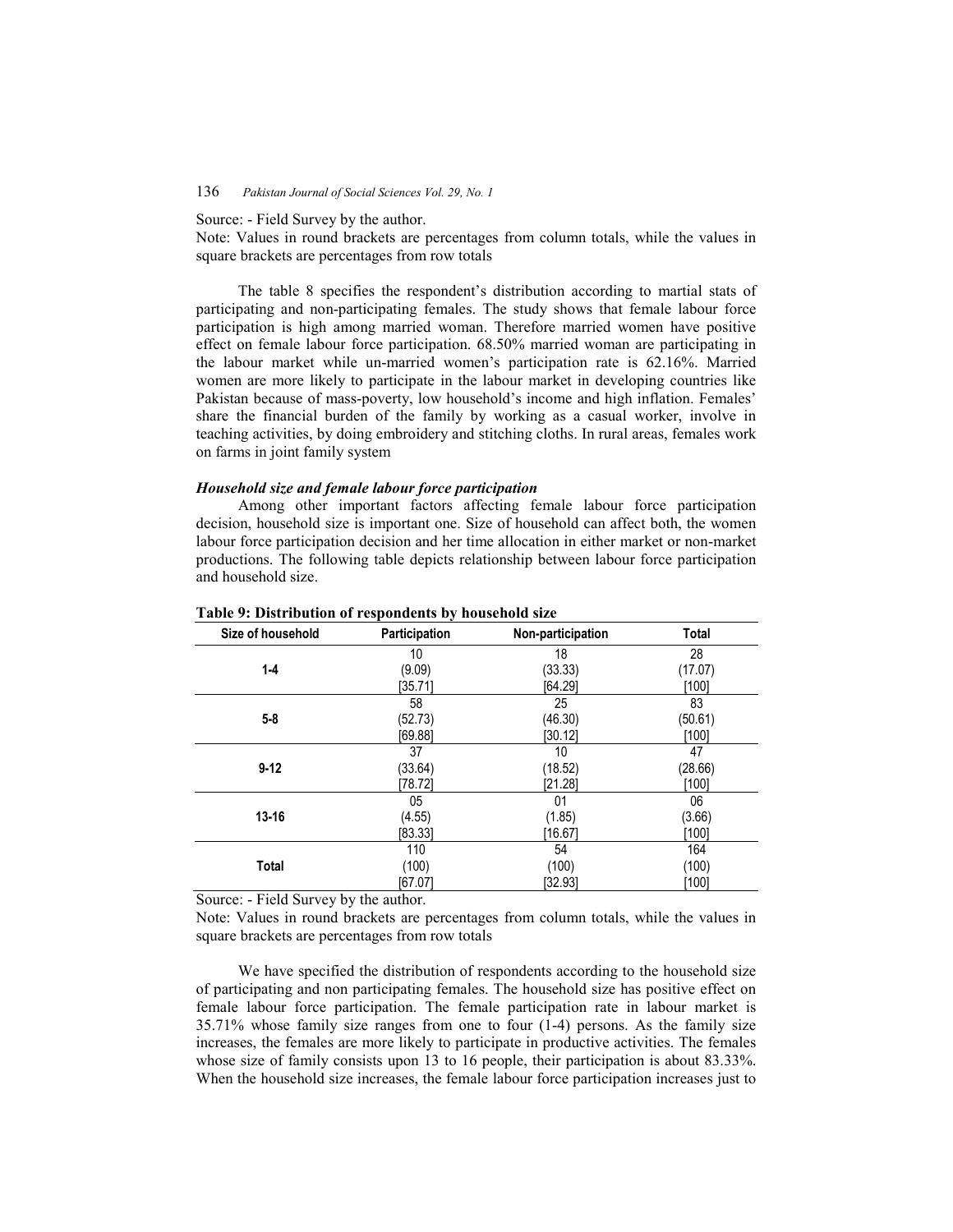Source: - Field Survey by the author.

Note: Values in round brackets are percentages from column totals, while the values in square brackets are percentages from row totals

 The table 8 specifies the respondent's distribution according to martial stats of participating and non-participating females. The study shows that female labour force participation is high among married woman. Therefore married women have positive effect on female labour force participation. 68.50% married woman are participating in the labour market while un-married women's participation rate is 62.16%. Married women are more likely to participate in the labour market in developing countries like Pakistan because of mass-poverty, low household's income and high inflation. Females' share the financial burden of the family by working as a casual worker, involve in teaching activities, by doing embroidery and stitching cloths. In rural areas, females work on farms in joint family system

### *Household size and female labour force participation*

 Among other important factors affecting female labour force participation decision, household size is important one. Size of household can affect both, the women labour force participation decision and her time allocation in either market or non-market productions. The following table depicts relationship between labour force participation and household size.

| Size of household | Participation | Non-participation | Total   |
|-------------------|---------------|-------------------|---------|
|                   | 10            | 18                | 28      |
| $1 - 4$           | (9.09)        | (33.33)           | (17.07) |
|                   | [35.71]       | [64.29]           | [100]   |
|                   | 58            | 25                | 83      |
| $5 - 8$           | (52.73)       | (46.30)           | (50.61) |
|                   | [69.88]       | [30.12]           | [100]   |
|                   | 37            | 10                | 47      |
| $9 - 12$          | (33.64)       | (18.52)           | (28.66) |
|                   | [78.72]       | [21.28]           | [100]   |
|                   | 05            | 01                | 06      |
| $13 - 16$         | (4.55)        | (1.85)            | (3.66)  |
|                   | [83.33]       | [16.67]           | [100]   |
|                   | 110           | 54                | 164     |
| <b>Total</b>      | (100)         | (100)             | (100)   |
|                   | [67.07]       | [32.93]           | [100]   |

#### **Table 9: Distribution of respondents by household size**

Source: - Field Survey by the author.

Note: Values in round brackets are percentages from column totals, while the values in square brackets are percentages from row totals

 We have specified the distribution of respondents according to the household size of participating and non participating females. The household size has positive effect on female labour force participation. The female participation rate in labour market is 35.71% whose family size ranges from one to four (1-4) persons. As the family size increases, the females are more likely to participate in productive activities. The females whose size of family consists upon 13 to 16 people, their participation is about 83.33%. When the household size increases, the female labour force participation increases just to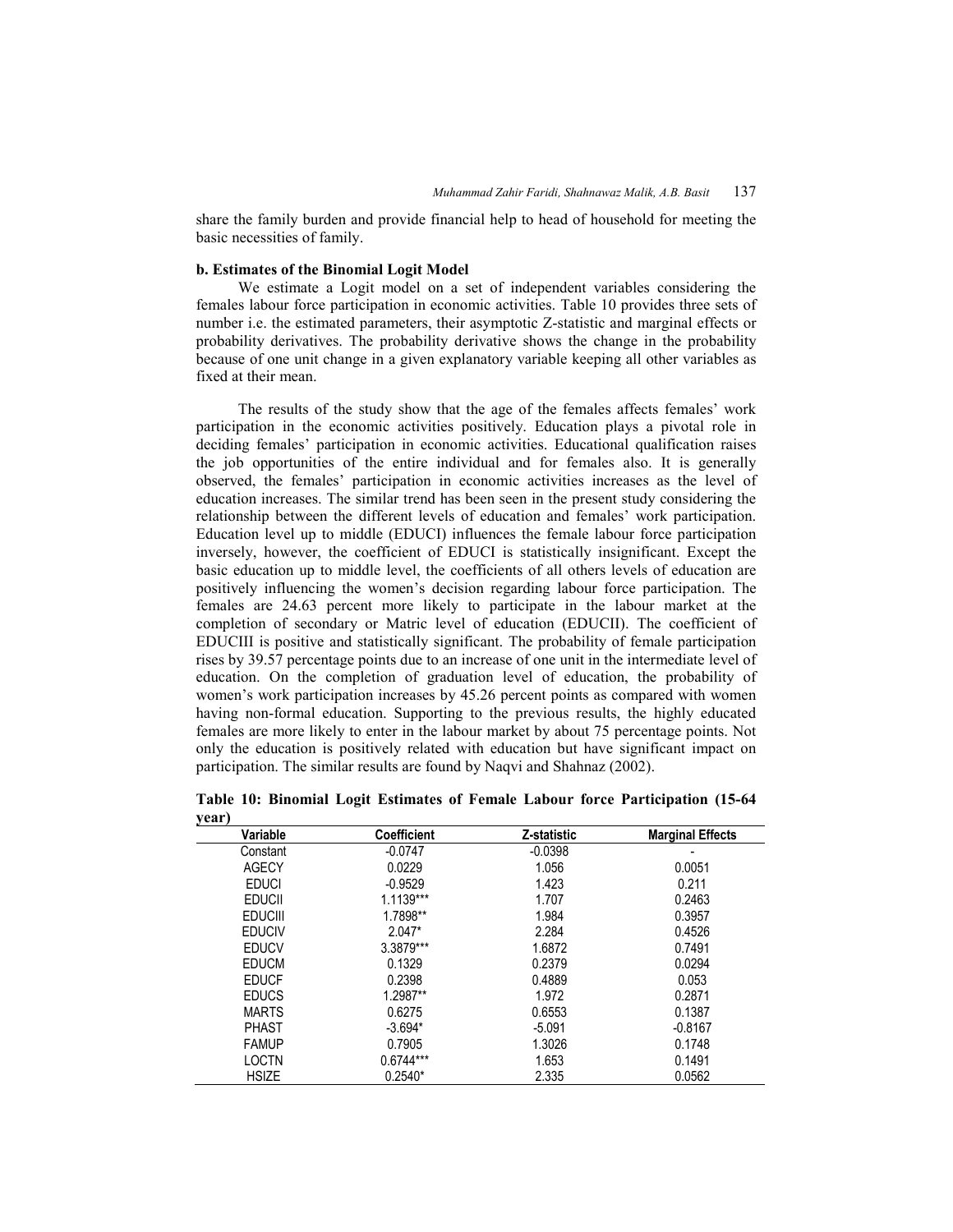share the family burden and provide financial help to head of household for meeting the basic necessities of family.

### **b. Estimates of the Binomial Logit Model**

 We estimate a Logit model on a set of independent variables considering the females labour force participation in economic activities. Table 10 provides three sets of number i.e. the estimated parameters, their asymptotic Z-statistic and marginal effects or probability derivatives. The probability derivative shows the change in the probability because of one unit change in a given explanatory variable keeping all other variables as fixed at their mean.

 The results of the study show that the age of the females affects females' work participation in the economic activities positively. Education plays a pivotal role in deciding females' participation in economic activities. Educational qualification raises the job opportunities of the entire individual and for females also. It is generally observed, the females' participation in economic activities increases as the level of education increases. The similar trend has been seen in the present study considering the relationship between the different levels of education and females' work participation. Education level up to middle (EDUCI) influences the female labour force participation inversely, however, the coefficient of EDUCI is statistically insignificant. Except the basic education up to middle level, the coefficients of all others levels of education are positively influencing the women's decision regarding labour force participation. The females are 24.63 percent more likely to participate in the labour market at the completion of secondary or Matric level of education (EDUCII). The coefficient of EDUCIII is positive and statistically significant. The probability of female participation rises by 39.57 percentage points due to an increase of one unit in the intermediate level of education. On the completion of graduation level of education, the probability of women's work participation increases by 45.26 percent points as compared with women having non-formal education. Supporting to the previous results, the highly educated females are more likely to enter in the labour market by about 75 percentage points. Not only the education is positively related with education but have significant impact on participation. The similar results are found by Naqvi and Shahnaz (2002).

| J ---- J<br>Variable | <b>Coefficient</b> | Z-statistic | <b>Marginal Effects</b> |
|----------------------|--------------------|-------------|-------------------------|
| Constant             | $-0.0747$          | $-0.0398$   |                         |
| <b>AGECY</b>         | 0.0229             | 1.056       | 0.0051                  |
| <b>EDUCI</b>         | $-0.9529$          | 1.423       | 0.211                   |
| <b>EDUCII</b>        | $1.1139***$        | 1.707       | 0.2463                  |
| <b>EDUCIII</b>       | 1.7898**           | 1.984       | 0.3957                  |
| <b>EDUCIV</b>        | $2.047*$           | 2.284       | 0.4526                  |
| <b>EDUCV</b>         | 3.3879***          | 1.6872      | 0.7491                  |
| <b>EDUCM</b>         | 0.1329             | 0.2379      | 0.0294                  |
| <b>EDUCF</b>         | 0.2398             | 0.4889      | 0.053                   |
| <b>EDUCS</b>         | 1.2987**           | 1.972       | 0.2871                  |
| <b>MARTS</b>         | 0.6275             | 0.6553      | 0.1387                  |
| <b>PHAST</b>         | $-3.694*$          | $-5.091$    | $-0.8167$               |
| <b>FAMUP</b>         | 0.7905             | 1.3026      | 0.1748                  |
| <b>LOCTN</b>         | $0.6744***$        | 1.653       | 0.1491                  |
| <b>HSIZE</b>         | $0.2540*$          | 2.335       | 0.0562                  |

**Table 10: Binomial Logit Estimates of Female Labour force Participation (15-64 year)**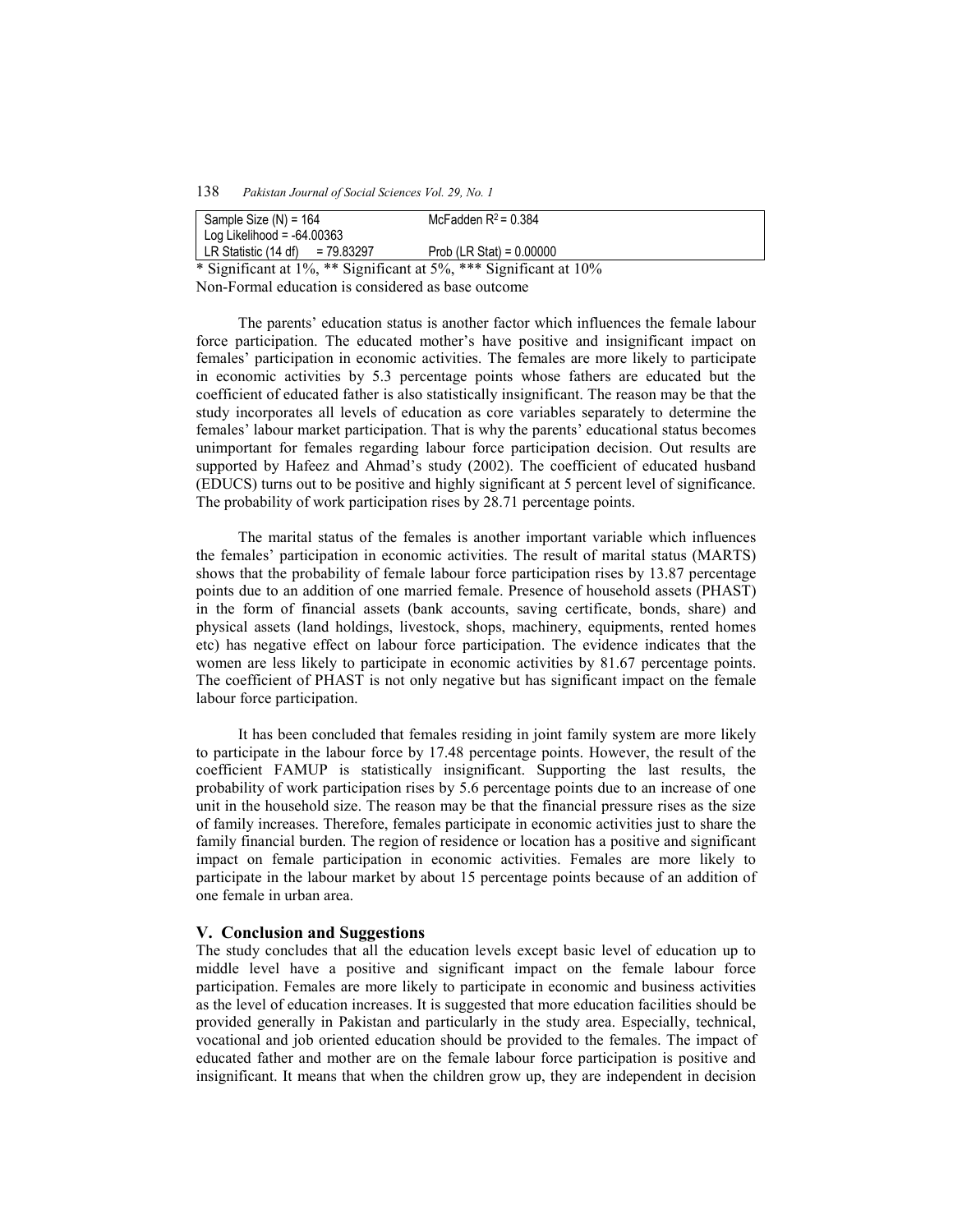| Sample Size $(N) = 164$<br>Log Likelihood = $-64.00363$        | McFadden $R^2$ = 0.384             |  |
|----------------------------------------------------------------|------------------------------------|--|
| LR Statistic (14 df)<br>= 79.83297<br>$\cdots$ $\sim$ $\cdots$ | Prob $(LR \text{ Stat}) = 0.00000$ |  |

\* Significant at 1%, \*\* Significant at 5%, \*\*\* Significant at 10% Non-Formal education is considered as base outcome

 The parents' education status is another factor which influences the female labour force participation. The educated mother's have positive and insignificant impact on females' participation in economic activities. The females are more likely to participate in economic activities by 5.3 percentage points whose fathers are educated but the coefficient of educated father is also statistically insignificant. The reason may be that the study incorporates all levels of education as core variables separately to determine the females' labour market participation. That is why the parents' educational status becomes unimportant for females regarding labour force participation decision. Out results are supported by Hafeez and Ahmad's study (2002). The coefficient of educated husband (EDUCS) turns out to be positive and highly significant at 5 percent level of significance. The probability of work participation rises by 28.71 percentage points.

 The marital status of the females is another important variable which influences the females' participation in economic activities. The result of marital status (MARTS) shows that the probability of female labour force participation rises by 13.87 percentage points due to an addition of one married female. Presence of household assets (PHAST) in the form of financial assets (bank accounts, saving certificate, bonds, share) and physical assets (land holdings, livestock, shops, machinery, equipments, rented homes etc) has negative effect on labour force participation. The evidence indicates that the women are less likely to participate in economic activities by 81.67 percentage points. The coefficient of PHAST is not only negative but has significant impact on the female labour force participation.

 It has been concluded that females residing in joint family system are more likely to participate in the labour force by 17.48 percentage points. However, the result of the coefficient FAMUP is statistically insignificant. Supporting the last results, the probability of work participation rises by 5.6 percentage points due to an increase of one unit in the household size. The reason may be that the financial pressure rises as the size of family increases. Therefore, females participate in economic activities just to share the family financial burden. The region of residence or location has a positive and significant impact on female participation in economic activities. Females are more likely to participate in the labour market by about 15 percentage points because of an addition of one female in urban area.

### **V. Conclusion and Suggestions**

The study concludes that all the education levels except basic level of education up to middle level have a positive and significant impact on the female labour force participation. Females are more likely to participate in economic and business activities as the level of education increases. It is suggested that more education facilities should be provided generally in Pakistan and particularly in the study area. Especially, technical, vocational and job oriented education should be provided to the females. The impact of educated father and mother are on the female labour force participation is positive and insignificant. It means that when the children grow up, they are independent in decision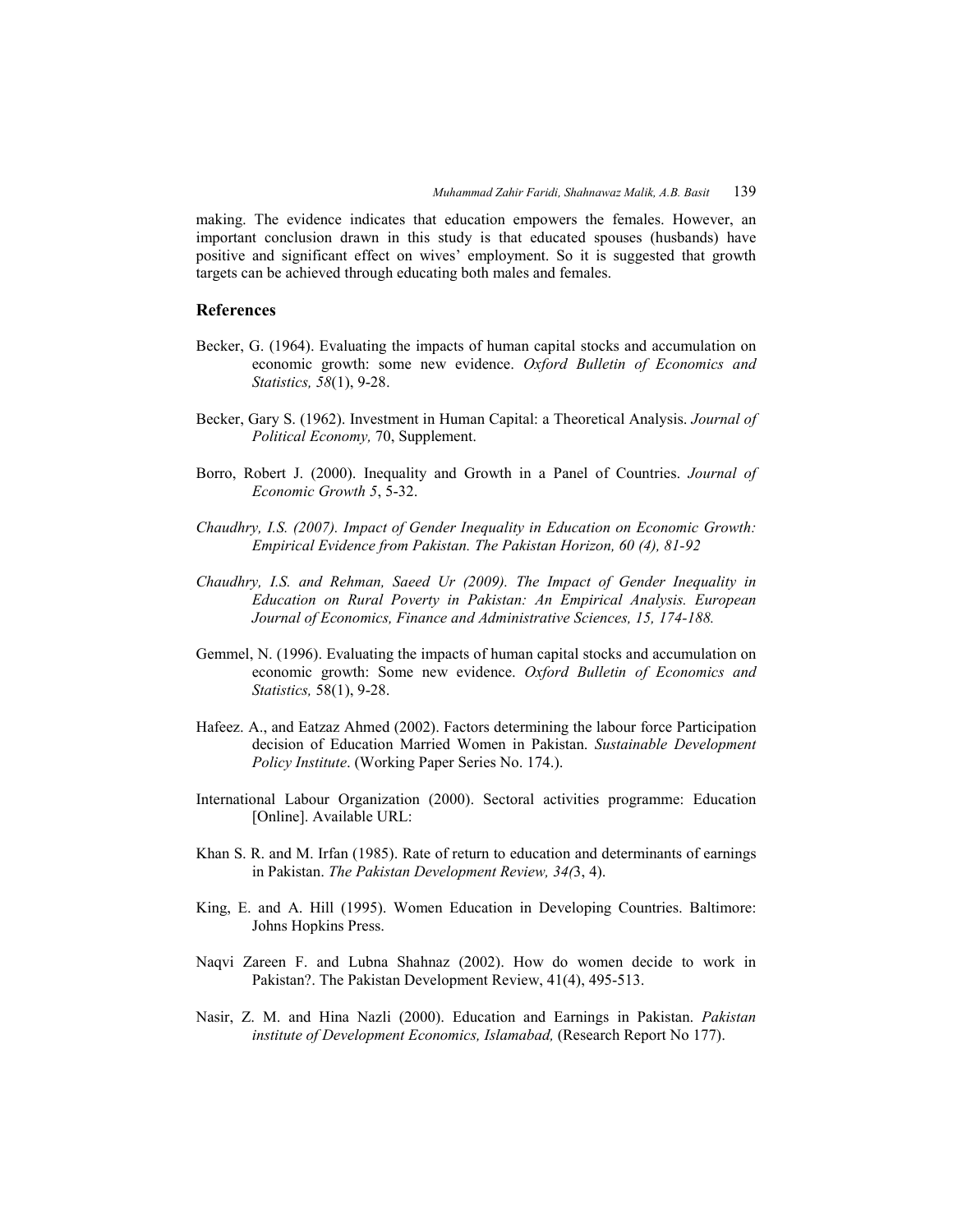making. The evidence indicates that education empowers the females. However, an important conclusion drawn in this study is that educated spouses (husbands) have positive and significant effect on wives' employment. So it is suggested that growth targets can be achieved through educating both males and females.

### **References**

- Becker, G. (1964). Evaluating the impacts of human capital stocks and accumulation on economic growth: some new evidence. *Oxford Bulletin of Economics and Statistics, 58*(1), 9-28.
- Becker, Gary S. (1962). Investment in Human Capital: a Theoretical Analysis. *Journal of Political Economy,* 70, Supplement.
- Borro, Robert J. (2000). Inequality and Growth in a Panel of Countries. *Journal of Economic Growth 5*, 5-32.
- *Chaudhry, I.S. (2007). Impact of Gender Inequality in Education on Economic Growth: Empirical Evidence from Pakistan. The Pakistan Horizon, 60 (4), 81-92*
- *Chaudhry, I.S. and Rehman, Saeed Ur (2009). The Impact of Gender Inequality in Education on Rural Poverty in Pakistan: An Empirical Analysis. European Journal of Economics, Finance and Administrative Sciences, 15, 174-188.*
- Gemmel, N. (1996). Evaluating the impacts of human capital stocks and accumulation on economic growth: Some new evidence. *Oxford Bulletin of Economics and Statistics,* 58(1), 9-28.
- Hafeez. A., and Eatzaz Ahmed (2002). Factors determining the labour force Participation decision of Education Married Women in Pakistan. *Sustainable Development Policy Institute*. (Working Paper Series No. 174.).
- International Labour Organization (2000). Sectoral activities programme: Education [Online]. Available URL:
- Khan S. R. and M. Irfan (1985). Rate of return to education and determinants of earnings in Pakistan. *The Pakistan Development Review, 34(*3, 4).
- King, E. and A. Hill (1995). Women Education in Developing Countries. Baltimore: Johns Hopkins Press.
- Naqvi Zareen F. and Lubna Shahnaz (2002). How do women decide to work in Pakistan?. The Pakistan Development Review, 41(4), 495-513.
- Nasir, Z. M. and Hina Nazli (2000). Education and Earnings in Pakistan. *Pakistan institute of Development Economics, Islamabad,* (Research Report No 177).